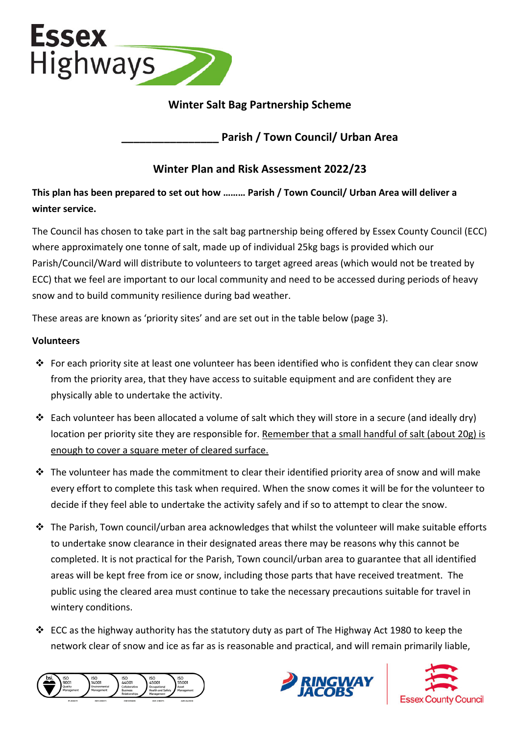

# **Winter Salt Bag Partnership Scheme**

**\_\_\_\_\_\_\_\_\_\_\_\_\_\_\_\_ Parish / Town Council/ Urban Area**

# **Winter Plan and Risk Assessment 2022/23**

**This plan has been prepared to set out how ……… Parish / Town Council/ Urban Area will deliver a winter service.** 

The Council has chosen to take part in the salt bag partnership being offered by Essex County Council (ECC) where approximately one tonne of salt, made up of individual 25kg bags is provided which our Parish/Council/Ward will distribute to volunteers to target agreed areas (which would not be treated by ECC) that we feel are important to our local community and need to be accessed during periods of heavy snow and to build community resilience during bad weather.

These areas are known as 'priority sites' and are set out in the table below (page 3).

#### **Volunteers**

- For each priority site at least one volunteer has been identified who is confident they can clear snow from the priority area, that they have access to suitable equipment and are confident they are physically able to undertake the activity.
- Each volunteer has been allocated a volume of salt which they will store in a secure (and ideally dry) location per priority site they are responsible for. Remember that a small handful of salt (about 20g) is enough to cover a square meter of cleared surface.
- $\cdot$  The volunteer has made the commitment to clear their identified priority area of snow and will make every effort to complete this task when required. When the snow comes it will be for the volunteer to decide if they feel able to undertake the activity safely and if so to attempt to clear the snow.
- $\cdot \cdot$  The Parish, Town council/urban area acknowledges that whilst the volunteer will make suitable efforts to undertake snow clearance in their designated areas there may be reasons why this cannot be completed. It is not practical for the Parish, Town council/urban area to guarantee that all identified areas will be kept free from ice or snow, including those parts that have received treatment. The public using the cleared area must continue to take the necessary precautions suitable for travel in wintery conditions.
- ECC as the highway authority has the statutory duty as part of The Highway Act 1980 to keep the network clear of snow and ice as far as is reasonable and practical, and will remain primarily liable,





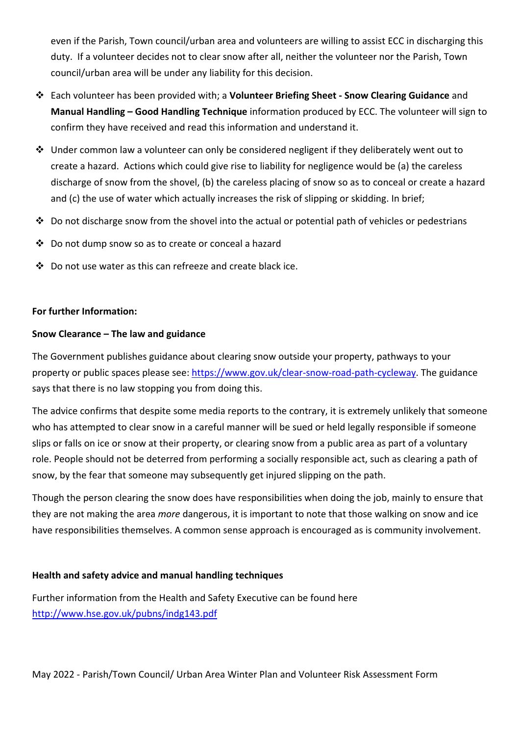even if the Parish, Town council/urban area and volunteers are willing to assist ECC in discharging this duty. If a volunteer decides not to clear snow after all, neither the volunteer nor the Parish, Town council/urban area will be under any liability for this decision.

- Each volunteer has been provided with; a **Volunteer Briefing Sheet Snow Clearing Guidance** and **Manual Handling – Good Handling Technique** information produced by ECC. The volunteer will sign to confirm they have received and read this information and understand it.
- $\cdot \cdot$  Under common law a volunteer can only be considered negligent if they deliberately went out to create a hazard. Actions which could give rise to liability for negligence would be (a) the careless discharge of snow from the shovel, (b) the careless placing of snow so as to conceal or create a hazard and (c) the use of water which actually increases the risk of slipping or skidding. In brief;
- $\cdot$  Do not discharge snow from the shovel into the actual or potential path of vehicles or pedestrians
- Do not dump snow so as to create or conceal a hazard
- Do not use water as this can refreeze and create black ice.

### **For further Information:**

#### **Snow Clearance – The law and guidance**

The Government publishes guidance about clearing snow outside your property, pathways to your property or public spaces please see: https://www.gov.uk/clear-snow-road-path-cycleway. The guidance says that there is no law stopping you from doing this.

The advice confirms that despite some media reports to the contrary, it is extremely unlikely that someone who has attempted to clear snow in a careful manner will be sued or held legally responsible if someone slips or falls on ice or snow at their property, or clearing snow from a public area as part of a voluntary role. People should not be deterred from performing a socially responsible act, such as clearing a path of snow, by the fear that someone may subsequently get injured slipping on the path.

Though the person clearing the snow does have responsibilities when doing the job, mainly to ensure that they are not making the area *more* dangerous, it is important to note that those walking on snow and ice have responsibilities themselves. A common sense approach is encouraged as is community involvement.

### **Health and safety advice and manual handling techniques**

Further information from the Health and Safety Executive can be found here http://www.hse.gov.uk/pubns/indg143.pdf

May 2022 - Parish/Town Council/ Urban Area Winter Plan and Volunteer Risk Assessment Form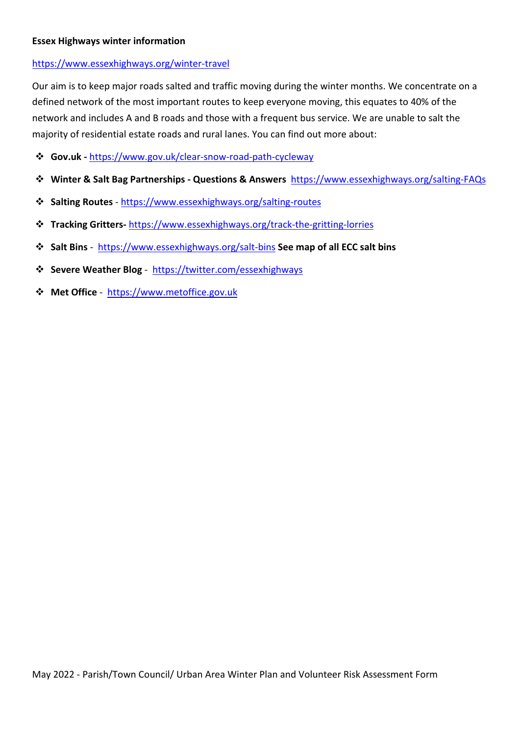#### **Essex Highways winter information**

#### https://www.essexhighways.org/winter-travel

Our aim is to keep major roads salted and traffic moving during the winter months. We concentrate on a defined network of the most important routes to keep everyone moving, this equates to 40% of the network and includes A and B roads and those with a frequent bus service. We are unable to salt the majority of residential estate roads and rural lanes. You can find out more about:

- **Gov.uk** https://www.gov.uk/clear-snow-road-path-cycleway
- **Winter & Salt Bag Partnerships Questions & Answers** https://www.essexhighways.org/salting-FAQs
- **Salting Routes** https://www.essexhighways.org/salting-routes
- **Tracking Gritters-** https://www.essexhighways.org/track-the-gritting-lorries
- **Salt Bins**  https://www.essexhighways.org/salt-bins **See map of all ECC salt bins**
- **Severe Weather Blog** https://twitter.com/essexhighways
- **Met Office** https://www.metoffice.gov.uk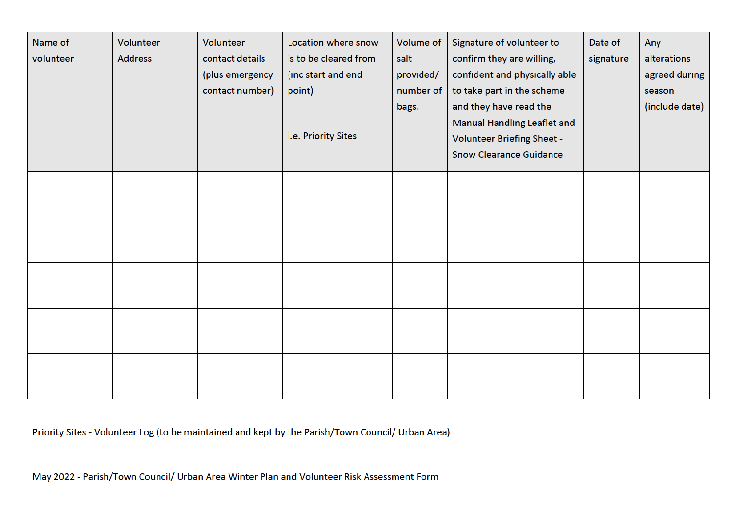| Name of<br>volunteer | Volunteer<br><b>Address</b> | Volunteer<br>contact details<br>(plus emergency<br>contact number) | Location where snow<br>is to be cleared from<br>(inc start and end<br>point)<br>i.e. Priority Sites | Volume of<br>salt<br>provided/<br>number of<br>bags. | Signature of volunteer to<br>confirm they are willing,<br>confident and physically able<br>to take part in the scheme<br>and they have read the<br>Manual Handling Leaflet and<br>Volunteer Briefing Sheet -<br><b>Snow Clearance Guidance</b> | Date of<br>signature | Any<br>alterations<br>agreed during<br>season<br>(include date) |
|----------------------|-----------------------------|--------------------------------------------------------------------|-----------------------------------------------------------------------------------------------------|------------------------------------------------------|------------------------------------------------------------------------------------------------------------------------------------------------------------------------------------------------------------------------------------------------|----------------------|-----------------------------------------------------------------|
|                      |                             |                                                                    |                                                                                                     |                                                      |                                                                                                                                                                                                                                                |                      |                                                                 |
|                      |                             |                                                                    |                                                                                                     |                                                      |                                                                                                                                                                                                                                                |                      |                                                                 |
|                      |                             |                                                                    |                                                                                                     |                                                      |                                                                                                                                                                                                                                                |                      |                                                                 |
|                      |                             |                                                                    |                                                                                                     |                                                      |                                                                                                                                                                                                                                                |                      |                                                                 |
|                      |                             |                                                                    |                                                                                                     |                                                      |                                                                                                                                                                                                                                                |                      |                                                                 |

Priority Sites - Volunteer Log (to be maintained and kept by the Parish/Town Council/ Urban Area)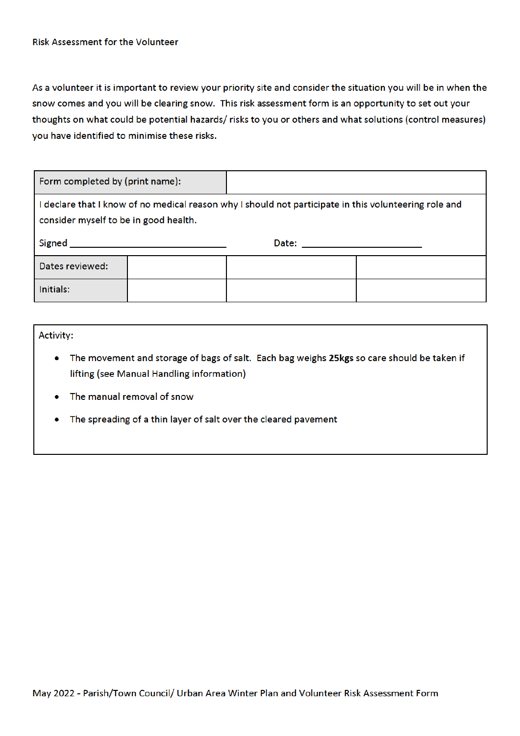#### **Risk Assessment for the Volunteer**

As a volunteer it is important to review your priority site and consider the situation you will be in when the snow comes and you will be clearing snow. This risk assessment form is an opportunity to set out your thoughts on what could be potential hazards/ risks to you or others and what solutions (control measures) you have identified to minimise these risks.

| Form completed by (print name):                                                                                                                |  |                            |  |  |  |  |  |  |
|------------------------------------------------------------------------------------------------------------------------------------------------|--|----------------------------|--|--|--|--|--|--|
| I declare that I know of no medical reason why I should not participate in this volunteering role and<br>consider myself to be in good health. |  |                            |  |  |  |  |  |  |
| <b>Signed</b>                                                                                                                                  |  | Date: ____________________ |  |  |  |  |  |  |
| Dates reviewed:                                                                                                                                |  |                            |  |  |  |  |  |  |
| Initials:                                                                                                                                      |  |                            |  |  |  |  |  |  |

#### **Activity:**

- The movement and storage of bags of salt. Each bag weighs 25kgs so care should be taken if lifting (see Manual Handling information)
- The manual removal of snow
- The spreading of a thin layer of salt over the cleared pavement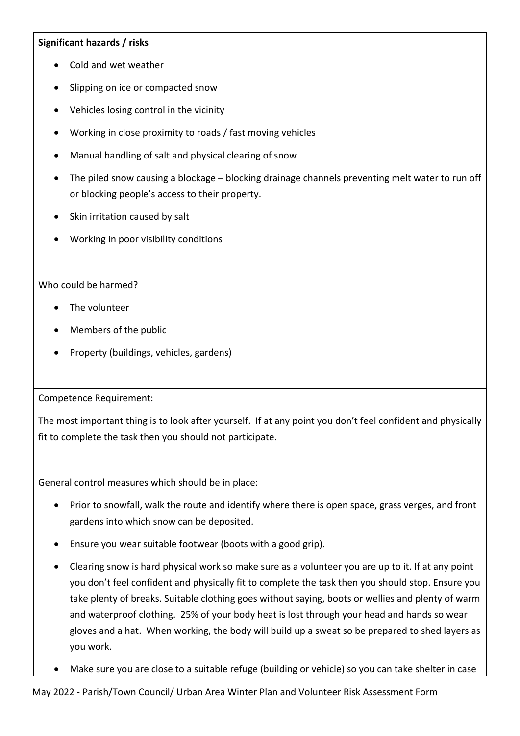## **Significant hazards / risks**

- Cold and wet weather
- Slipping on ice or compacted snow
- Vehicles losing control in the vicinity
- Working in close proximity to roads / fast moving vehicles
- Manual handling of salt and physical clearing of snow
- The piled snow causing a blockage blocking drainage channels preventing melt water to run off or blocking people's access to their property.
- Skin irritation caused by salt
- Working in poor visibility conditions

## Who could be harmed?

- The volunteer
- Members of the public
- Property (buildings, vehicles, gardens)

Competence Requirement:

The most important thing is to look after yourself. If at any point you don't feel confident and physically fit to complete the task then you should not participate.

General control measures which should be in place:

- Prior to snowfall, walk the route and identify where there is open space, grass verges, and front gardens into which snow can be deposited.
- Ensure you wear suitable footwear (boots with a good grip).
- Clearing snow is hard physical work so make sure as a volunteer you are up to it. If at any point you don't feel confident and physically fit to complete the task then you should stop. Ensure you take plenty of breaks. Suitable clothing goes without saying, boots or wellies and plenty of warm and waterproof clothing. 25% of your body heat is lost through your head and hands so wear gloves and a hat. When working, the body will build up a sweat so be prepared to shed layers as you work.
- Make sure you are close to a suitable refuge (building or vehicle) so you can take shelter in case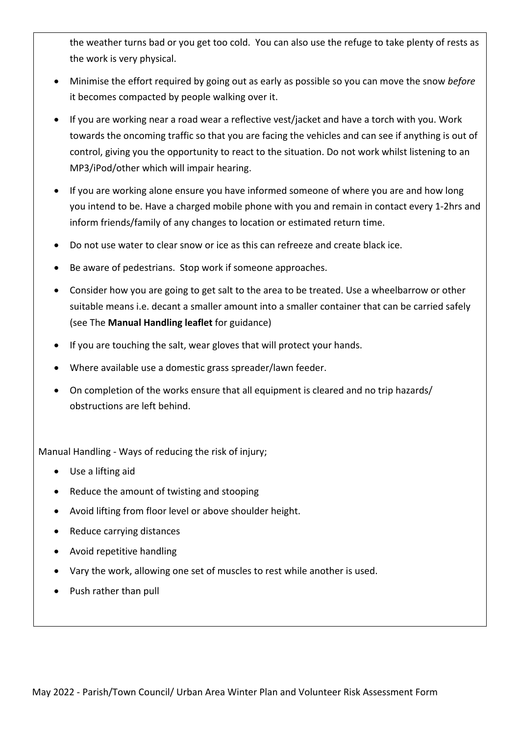the weather turns bad or you get too cold. You can also use the refuge to take plenty of rests as the work is very physical.

- Minimise the effort required by going out as early as possible so you can move the snow *before* it becomes compacted by people walking over it.
- If you are working near a road wear a reflective vest/jacket and have a torch with you. Work towards the oncoming traffic so that you are facing the vehicles and can see if anything is out of control, giving you the opportunity to react to the situation. Do not work whilst listening to an MP3/iPod/other which will impair hearing.
- If you are working alone ensure you have informed someone of where you are and how long you intend to be. Have a charged mobile phone with you and remain in contact every 1-2hrs and inform friends/family of any changes to location or estimated return time.
- Do not use water to clear snow or ice as this can refreeze and create black ice.
- Be aware of pedestrians. Stop work if someone approaches.
- Consider how you are going to get salt to the area to be treated. Use a wheelbarrow or other suitable means i.e. decant a smaller amount into a smaller container that can be carried safely (see The **Manual Handling leaflet** for guidance)
- If you are touching the salt, wear gloves that will protect your hands.
- Where available use a domestic grass spreader/lawn feeder.
- On completion of the works ensure that all equipment is cleared and no trip hazards/ obstructions are left behind.

Manual Handling - Ways of reducing the risk of injury;

- Use a lifting aid
- Reduce the amount of twisting and stooping
- Avoid lifting from floor level or above shoulder height.
- Reduce carrying distances
- Avoid repetitive handling
- Vary the work, allowing one set of muscles to rest while another is used.
- Push rather than pull